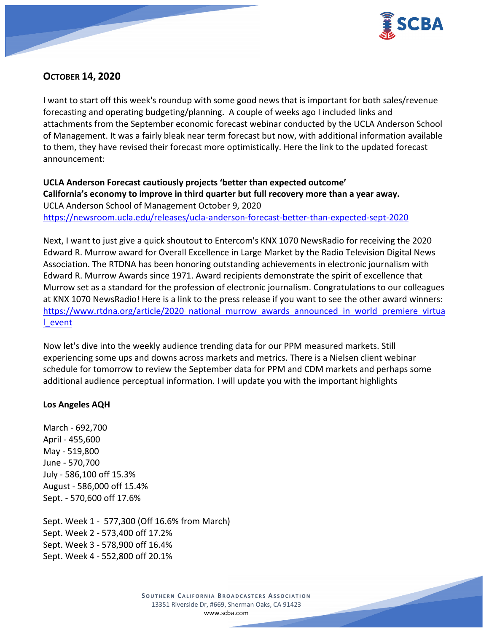

# **OCTOBER 14, 2020**

I want to start off this week's roundup with some good news that is important for both sales/revenue forecasting and operating budgeting/planning. A couple of weeks ago I included links and attachments from the September economic forecast webinar conducted by the UCLA Anderson School of Management. It was a fairly bleak near term forecast but now, with additional information available to them, they have revised their forecast more optimistically. Here the link to the updated forecast announcement:

**UCLA Anderson Forecast cautiously projects 'better than expected outcome' California's economy to improve in third quarter but full recovery more than a year away.** UCLA Anderson School of Management October 9, 2020 <https://newsroom.ucla.edu/releases/ucla-anderson-forecast-better-than-expected-sept-2020>

Next, I want to just give a quick shoutout to Entercom's KNX 1070 NewsRadio for receiving the 2020 Edward R. Murrow award for Overall Excellence in Large Market by the Radio Television Digital News Association. The RTDNA has been honoring outstanding achievements in electronic journalism with Edward R. Murrow Awards since 1971. Award recipients demonstrate the spirit of excellence that Murrow set as a standard for the profession of electronic journalism. Congratulations to our colleagues at KNX 1070 NewsRadio! Here is a link to the press release if you want to see the other award winners: [https://www.rtdna.org/article/2020\\_national\\_murrow\\_awards\\_announced\\_in\\_world\\_premiere\\_virtua](https://www.rtdna.org/article/2020_national_murrow_awards_announced_in_world_premiere_virtual_event) [l\\_event](https://www.rtdna.org/article/2020_national_murrow_awards_announced_in_world_premiere_virtual_event)

Now let's dive into the weekly audience trending data for our PPM measured markets. Still experiencing some ups and downs across markets and metrics. There is a Nielsen client webinar schedule for tomorrow to review the September data for PPM and CDM markets and perhaps some additional audience perceptual information. I will update you with the important highlights

## **Los Angeles AQH**

March - 692,700 April - 455,600 May - 519,800 June - 570,700 July - 586,100 off 15.3% August - 586,000 off 15.4% Sept. - 570,600 off 17.6%

Sept. Week 1 - 577,300 (Off 16.6% from March) Sept. Week 2 - 573,400 off 17.2% Sept. Week 3 - 578,900 off 16.4% Sept. Week 4 - 552,800 off 20.1%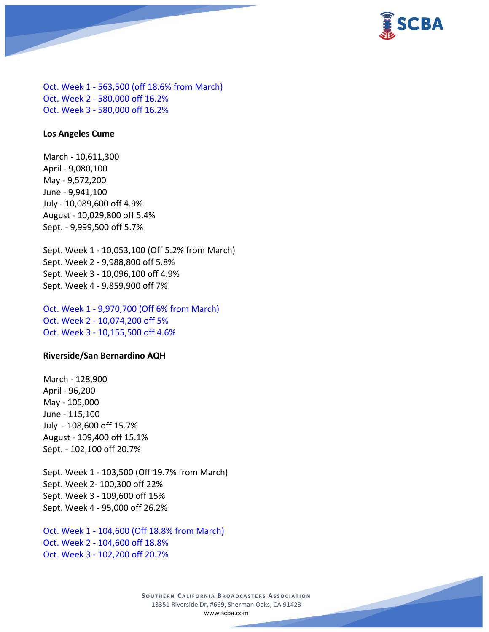

Oct. Week 1 - 563,500 (off 18.6% from March) Oct. Week 2 - 580,000 off 16.2% Oct. Week 3 - 580,000 off 16.2%

#### **Los Angeles Cume**

March - 10,611,300 April - 9,080,100 May - 9,572,200 June - 9,941,100 July - 10,089,600 off 4.9% August - 10,029,800 off 5.4% Sept. - 9,999,500 off 5.7%

Sept. Week 1 - 10,053,100 (Off 5.2% from March) Sept. Week 2 - 9,988,800 off 5.8% Sept. Week 3 - 10,096,100 off 4.9% Sept. Week 4 - 9,859,900 off 7%

Oct. Week 1 - 9,970,700 (Off 6% from March) Oct. Week 2 - 10,074,200 off 5% Oct. Week 3 - 10,155,500 off 4.6%

#### **Riverside/San Bernardino AQH**

March - 128,900 April - 96,200 May - 105,000 June - 115,100 July - 108,600 off 15.7% August - 109,400 off 15.1% Sept. - 102,100 off 20.7%

Sept. Week 1 - 103,500 (Off 19.7% from March) Sept. Week 2- 100,300 off 22% Sept. Week 3 - 109,600 off 15% Sept. Week 4 - 95,000 off 26.2%

Oct. Week 1 - 104,600 (Off 18.8% from March) Oct. Week 2 - 104,600 off 18.8% Oct. Week 3 - 102,200 off 20.7%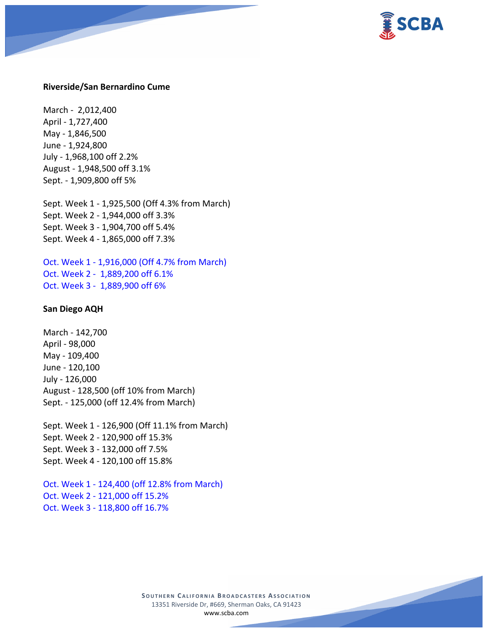

#### **Riverside/San Bernardino Cume**

March - 2,012,400 April - 1,727,400 May - 1,846,500 June - 1,924,800 July - 1,968,100 off 2.2% August - 1,948,500 off 3.1% Sept. - 1,909,800 off 5%

Sept. Week 1 - 1,925,500 (Off 4.3% from March) Sept. Week 2 - 1,944,000 off 3.3% Sept. Week 3 - 1,904,700 off 5.4% Sept. Week 4 - 1,865,000 off 7.3%

Oct. Week 1 - 1,916,000 (Off 4.7% from March) Oct. Week 2 - 1,889,200 off 6.1% Oct. Week 3 - 1,889,900 off 6%

#### **San Diego AQH**

March - 142,700 April - 98,000 May - 109,400 June - 120,100 July - 126,000 August - 128,500 (off 10% from March) Sept. - 125,000 (off 12.4% from March)

Sept. Week 1 - 126,900 (Off 11.1% from March) Sept. Week 2 - 120,900 off 15.3% Sept. Week 3 - 132,000 off 7.5% Sept. Week 4 - 120,100 off 15.8%

Oct. Week 1 - 124,400 (off 12.8% from March) Oct. Week 2 - 121,000 off 15.2% Oct. Week 3 - 118,800 off 16.7%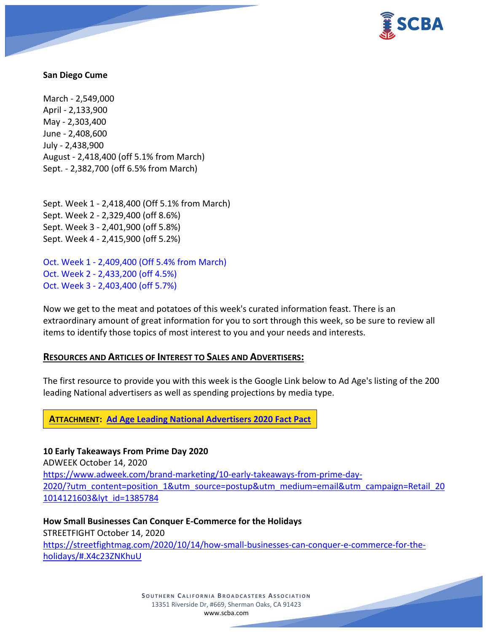

#### **San Diego Cume**

March - 2,549,000 April - 2,133,900 May - 2,303,400 June - 2,408,600 July - 2,438,900 August - 2,418,400 (off 5.1% from March) Sept. - 2,382,700 (off 6.5% from March)

Sept. Week 1 - 2,418,400 (Off 5.1% from March) Sept. Week 2 - 2,329,400 (off 8.6%) Sept. Week 3 - 2,401,900 (off 5.8%) Sept. Week 4 - 2,415,900 (off 5.2%)

Oct. Week 1 - 2,409,400 (Off 5.4% from March) Oct. Week 2 - 2,433,200 (off 4.5%) Oct. Week 3 - 2,403,400 (off 5.7%)

Now we get to the meat and potatoes of this week's curated information feast. There is an extraordinary amount of great information for you to sort through this week, so be sure to review all items to identify those topics of most interest to you and your needs and interests.

## **RESOURCES AND ARTICLES OF INTEREST TO SALES AND ADVERTISERS:**

The first resource to provide you with this week is the Google Link below to Ad Age's listing of the 200 leading National advertisers as well as spending projections by media type.

**ATTACHMENT: Ad [Age Leading National Advertisers 2020 Fact Pact](https://scba.com/ad-age-leading-nat-adv-2020/)**

**10 Early Takeaways From Prime Day 2020** ADWEEK October 14, 2020 [https://www.adweek.com/brand-marketing/10-early-takeaways-from-prime-day-](https://www.adweek.com/brand-marketing/10-early-takeaways-from-prime-day-2020/?utm_content=position_1&utm_source=postup&utm_medium=email&utm_campaign=Retail_201014121603&lyt_id=1385784)[2020/?utm\\_content=position\\_1&utm\\_source=postup&utm\\_medium=email&utm\\_campaign=Retail\\_20](https://www.adweek.com/brand-marketing/10-early-takeaways-from-prime-day-2020/?utm_content=position_1&utm_source=postup&utm_medium=email&utm_campaign=Retail_201014121603&lyt_id=1385784) [1014121603&lyt\\_id=1385784](https://www.adweek.com/brand-marketing/10-early-takeaways-from-prime-day-2020/?utm_content=position_1&utm_source=postup&utm_medium=email&utm_campaign=Retail_201014121603&lyt_id=1385784)

**How Small Businesses Can Conquer E-Commerce for the Holidays** STREETFIGHT October 14, 2020 [https://streetfightmag.com/2020/10/14/how-small-businesses-can-conquer-e-commerce-for-the](https://streetfightmag.com/2020/10/14/how-small-businesses-can-conquer-e-commerce-for-the-holidays/#.X4c23ZNKhuU)[holidays/#.X4c23ZNKhuU](https://streetfightmag.com/2020/10/14/how-small-businesses-can-conquer-e-commerce-for-the-holidays/#.X4c23ZNKhuU)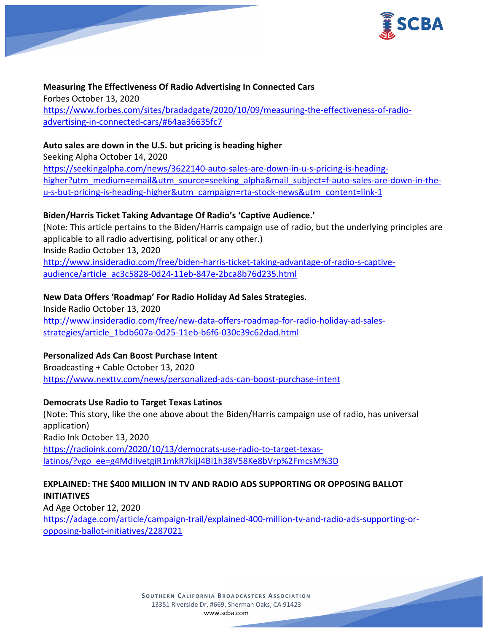

**Measuring The Effectiveness Of Radio Advertising In Connected Cars** Forbes October 13, 2020 [https://www.forbes.com/sites/bradadgate/2020/10/09/measuring-the-effectiveness-of-radio](https://www.forbes.com/sites/bradadgate/2020/10/09/measuring-the-effectiveness-of-radio-advertising-in-connected-cars/#64aa36635fc7)[advertising-in-connected-cars/#64aa36635fc7](https://www.forbes.com/sites/bradadgate/2020/10/09/measuring-the-effectiveness-of-radio-advertising-in-connected-cars/#64aa36635fc7)

## **Auto sales are down in the U.S. but pricing is heading higher**

Seeking Alpha October 14, 2020 [https://seekingalpha.com/news/3622140-auto-sales-are-down-in-u-s-pricing-is-heading](https://seekingalpha.com/news/3622140-auto-sales-are-down-in-u-s-pricing-is-heading-higher?utm_medium=email&utm_source=seeking_alpha&mail_subject=f-auto-sales-are-down-in-the-u-s-but-pricing-is-heading-higher&utm_campaign=rta-stock-news&utm_content=link-1)[higher?utm\\_medium=email&utm\\_source=seeking\\_alpha&mail\\_subject=f-auto-sales-are-down-in-the](https://seekingalpha.com/news/3622140-auto-sales-are-down-in-u-s-pricing-is-heading-higher?utm_medium=email&utm_source=seeking_alpha&mail_subject=f-auto-sales-are-down-in-the-u-s-but-pricing-is-heading-higher&utm_campaign=rta-stock-news&utm_content=link-1)[u-s-but-pricing-is-heading-higher&utm\\_campaign=rta-stock-news&utm\\_content=link-1](https://seekingalpha.com/news/3622140-auto-sales-are-down-in-u-s-pricing-is-heading-higher?utm_medium=email&utm_source=seeking_alpha&mail_subject=f-auto-sales-are-down-in-the-u-s-but-pricing-is-heading-higher&utm_campaign=rta-stock-news&utm_content=link-1)

## **Biden/Harris Ticket Taking Advantage Of Radio's 'Captive Audience.'**

(Note: This article pertains to the Biden/Harris campaign use of radio, but the underlying principles are applicable to all radio advertising, political or any other.) Inside Radio October 13, 2020

[http://www.insideradio.com/free/biden-harris-ticket-taking-advantage-of-radio-s-captive](http://www.insideradio.com/free/biden-harris-ticket-taking-advantage-of-radio-s-captive-audience/article_ac3c5828-0d24-11eb-847e-2bca8b76d235.html)[audience/article\\_ac3c5828-0d24-11eb-847e-2bca8b76d235.html](http://www.insideradio.com/free/biden-harris-ticket-taking-advantage-of-radio-s-captive-audience/article_ac3c5828-0d24-11eb-847e-2bca8b76d235.html)

## **New Data Offers 'Roadmap' For Radio Holiday Ad Sales Strategies.**

Inside Radio October 13, 2020 [http://www.insideradio.com/free/new-data-offers-roadmap-for-radio-holiday-ad-sales](http://www.insideradio.com/free/new-data-offers-roadmap-for-radio-holiday-ad-sales-strategies/article_1bdb607a-0d25-11eb-b6f6-030c39c62dad.html)[strategies/article\\_1bdb607a-0d25-11eb-b6f6-030c39c62dad.html](http://www.insideradio.com/free/new-data-offers-roadmap-for-radio-holiday-ad-sales-strategies/article_1bdb607a-0d25-11eb-b6f6-030c39c62dad.html)

## **Personalized Ads Can Boost Purchase Intent**

Broadcasting + Cable October 13, 2020 <https://www.nexttv.com/news/personalized-ads-can-boost-purchase-intent>

## **Democrats Use Radio to Target Texas Latinos**

(Note: This story, like the one above about the Biden/Harris campaign use of radio, has universal application) Radio Ink October 13, 2020 [https://radioink.com/2020/10/13/democrats-use-radio-to-target-texas](https://radioink.com/2020/10/13/democrats-use-radio-to-target-texas-latinos/?vgo_ee=g4MdIIvetgiR1mkR7kijJ4BI1h38V58Ke8bVrp%2FmcsM%3D)[latinos/?vgo\\_ee=g4MdIIvetgiR1mkR7kijJ4BI1h38V58Ke8bVrp%2FmcsM%3D](https://radioink.com/2020/10/13/democrats-use-radio-to-target-texas-latinos/?vgo_ee=g4MdIIvetgiR1mkR7kijJ4BI1h38V58Ke8bVrp%2FmcsM%3D)

## **EXPLAINED: THE \$400 MILLION IN TV AND RADIO ADS SUPPORTING OR OPPOSING BALLOT INITIATIVES**

Ad Age October 12, 2020 [https://adage.com/article/campaign-trail/explained-400-million-tv-and-radio-ads-supporting-or](https://adage.com/article/campaign-trail/explained-400-million-tv-and-radio-ads-supporting-or-opposing-ballot-initiatives/2287021)[opposing-ballot-initiatives/2287021](https://adage.com/article/campaign-trail/explained-400-million-tv-and-radio-ads-supporting-or-opposing-ballot-initiatives/2287021)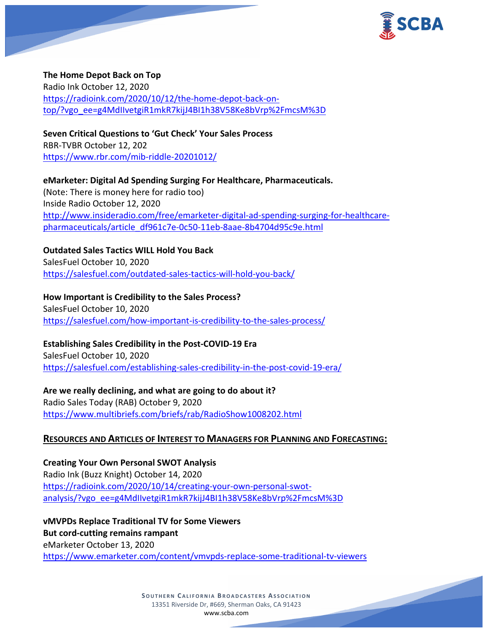

#### **The Home Depot Back on Top**

Radio Ink October 12, 2020 [https://radioink.com/2020/10/12/the-home-depot-back-on](https://radioink.com/2020/10/12/the-home-depot-back-on-top/?vgo_ee=g4MdIIvetgiR1mkR7kijJ4BI1h38V58Ke8bVrp%2FmcsM%3D)[top/?vgo\\_ee=g4MdIIvetgiR1mkR7kijJ4BI1h38V58Ke8bVrp%2FmcsM%3D](https://radioink.com/2020/10/12/the-home-depot-back-on-top/?vgo_ee=g4MdIIvetgiR1mkR7kijJ4BI1h38V58Ke8bVrp%2FmcsM%3D)

## **Seven Critical Questions to 'Gut Check' Your Sales Process**

RBR-TVBR October 12, 202 <https://www.rbr.com/mib-riddle-20201012/>

**eMarketer: Digital Ad Spending Surging For Healthcare, Pharmaceuticals.** (Note: There is money here for radio too) Inside Radio October 12, 2020 [http://www.insideradio.com/free/emarketer-digital-ad-spending-surging-for-healthcare](http://www.insideradio.com/free/emarketer-digital-ad-spending-surging-for-healthcare-pharmaceuticals/article_df961c7e-0c50-11eb-8aae-8b4704d95c9e.html)[pharmaceuticals/article\\_df961c7e-0c50-11eb-8aae-8b4704d95c9e.html](http://www.insideradio.com/free/emarketer-digital-ad-spending-surging-for-healthcare-pharmaceuticals/article_df961c7e-0c50-11eb-8aae-8b4704d95c9e.html)

**Outdated Sales Tactics WILL Hold You Back** SalesFuel October 10, 2020 <https://salesfuel.com/outdated-sales-tactics-will-hold-you-back/>

**How Important is Credibility to the Sales Process?** SalesFuel October 10, 2020 <https://salesfuel.com/how-important-is-credibility-to-the-sales-process/>

**Establishing Sales Credibility in the Post-COVID-19 Era**

SalesFuel October 10, 2020 <https://salesfuel.com/establishing-sales-credibility-in-the-post-covid-19-era/>

**Are we really declining, and what are going to do about it?** Radio Sales Today (RAB) October 9, 2020 <https://www.multibriefs.com/briefs/rab/RadioShow1008202.html>

## **RESOURCES AND ARTICLES OF INTEREST TO MANAGERS FOR PLANNING AND FORECASTING:**

**Creating Your Own Personal SWOT Analysis** Radio Ink (Buzz Knight) October 14, 2020 [https://radioink.com/2020/10/14/creating-your-own-personal-swot](https://radioink.com/2020/10/14/creating-your-own-personal-swot-analysis/?vgo_ee=g4MdIIvetgiR1mkR7kijJ4BI1h38V58Ke8bVrp%2FmcsM%3D)[analysis/?vgo\\_ee=g4MdIIvetgiR1mkR7kijJ4BI1h38V58Ke8bVrp%2FmcsM%3D](https://radioink.com/2020/10/14/creating-your-own-personal-swot-analysis/?vgo_ee=g4MdIIvetgiR1mkR7kijJ4BI1h38V58Ke8bVrp%2FmcsM%3D)

**vMVPDs Replace Traditional TV for Some Viewers But cord-cutting remains rampant** eMarketer October 13, 2020 <https://www.emarketer.com/content/vmvpds-replace-some-traditional-tv-viewers>

> **SOUTHERN CALIFORNIA BROADCASTERS ASSOCIATION** 13351 Riverside Dr, #669, Sherman Oaks, CA 91423 [www.scba.com](http://www.scba.com/)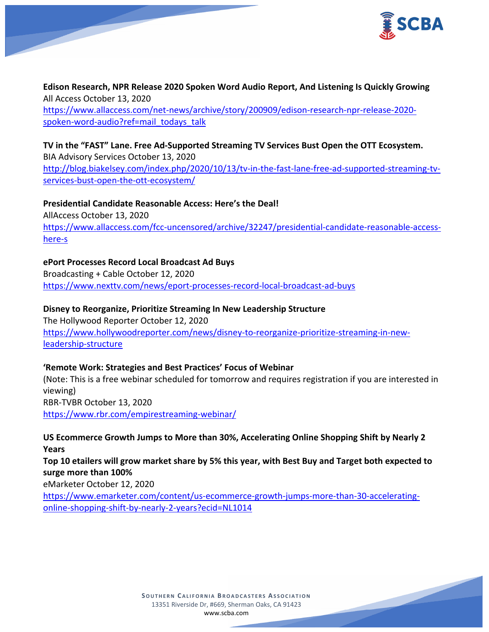

**Edison Research, NPR Release 2020 Spoken Word Audio Report, And Listening Is Quickly Growing** All Access October 13, 2020 [https://www.allaccess.com/net-news/archive/story/200909/edison-research-npr-release-2020](https://www.allaccess.com/net-news/archive/story/200909/edison-research-npr-release-2020-spoken-word-audio?ref=mail_todays_talk) [spoken-word-audio?ref=mail\\_todays\\_talk](https://www.allaccess.com/net-news/archive/story/200909/edison-research-npr-release-2020-spoken-word-audio?ref=mail_todays_talk)

**TV in the "FAST" Lane. Free Ad-Supported Streaming TV Services Bust Open the OTT Ecosystem.** BIA Advisory Services October 13, 2020 [http://blog.biakelsey.com/index.php/2020/10/13/tv-in-the-fast-lane-free-ad-supported-streaming-tv](http://blog.biakelsey.com/index.php/2020/10/13/tv-in-the-fast-lane-free-ad-supported-streaming-tv-services-bust-open-the-ott-ecosystem/)[services-bust-open-the-ott-ecosystem/](http://blog.biakelsey.com/index.php/2020/10/13/tv-in-the-fast-lane-free-ad-supported-streaming-tv-services-bust-open-the-ott-ecosystem/)

**Presidential Candidate Reasonable Access: Here's the Deal!** AllAccess October 13, 2020 [https://www.allaccess.com/fcc-uncensored/archive/32247/presidential-candidate-reasonable-access](https://www.allaccess.com/fcc-uncensored/archive/32247/presidential-candidate-reasonable-access-here-s)[here-s](https://www.allaccess.com/fcc-uncensored/archive/32247/presidential-candidate-reasonable-access-here-s)

## **ePort Processes Record Local Broadcast Ad Buys**

Broadcasting + Cable October 12, 2020 <https://www.nexttv.com/news/eport-processes-record-local-broadcast-ad-buys>

**Disney to Reorganize, Prioritize Streaming In New Leadership Structure**

The Hollywood Reporter October 12, 2020 [https://www.hollywoodreporter.com/news/disney-to-reorganize-prioritize-streaming-in-new](https://www.hollywoodreporter.com/news/disney-to-reorganize-prioritize-streaming-in-new-leadership-structure)[leadership-structure](https://www.hollywoodreporter.com/news/disney-to-reorganize-prioritize-streaming-in-new-leadership-structure)

## **'Remote Work: Strategies and Best Practices' Focus of Webinar**

(Note: This is a free webinar scheduled for tomorrow and requires registration if you are interested in viewing) RBR-TVBR October 13, 2020 <https://www.rbr.com/empirestreaming-webinar/>

**US Ecommerce Growth Jumps to More than 30%, Accelerating Online Shopping Shift by Nearly 2 Years**

**Top 10 etailers will grow market share by 5% this year, with Best Buy and Target both expected to surge more than 100%**

eMarketer October 12, 2020

[https://www.emarketer.com/content/us-ecommerce-growth-jumps-more-than-30-accelerating](https://www.emarketer.com/content/us-ecommerce-growth-jumps-more-than-30-accelerating-online-shopping-shift-by-nearly-2-years?ecid=NL1014)[online-shopping-shift-by-nearly-2-years?ecid=NL1014](https://www.emarketer.com/content/us-ecommerce-growth-jumps-more-than-30-accelerating-online-shopping-shift-by-nearly-2-years?ecid=NL1014)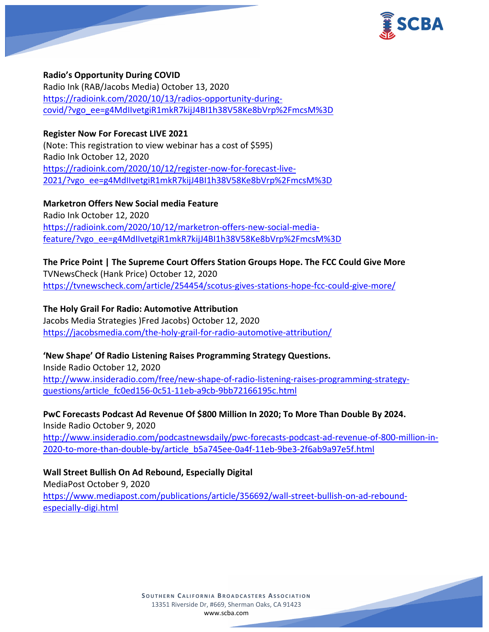

#### **Radio's Opportunity During COVID**

Radio Ink (RAB/Jacobs Media) October 13, 2020 [https://radioink.com/2020/10/13/radios-opportunity-during](https://radioink.com/2020/10/13/radios-opportunity-during-covid/?vgo_ee=g4MdIIvetgiR1mkR7kijJ4BI1h38V58Ke8bVrp%2FmcsM%3D)[covid/?vgo\\_ee=g4MdIIvetgiR1mkR7kijJ4BI1h38V58Ke8bVrp%2FmcsM%3D](https://radioink.com/2020/10/13/radios-opportunity-during-covid/?vgo_ee=g4MdIIvetgiR1mkR7kijJ4BI1h38V58Ke8bVrp%2FmcsM%3D)

## **Register Now For Forecast LIVE 2021**

(Note: This registration to view webinar has a cost of \$595) Radio Ink October 12, 2020 [https://radioink.com/2020/10/12/register-now-for-forecast-live-](https://radioink.com/2020/10/12/register-now-for-forecast-live-2021/?vgo_ee=g4MdIIvetgiR1mkR7kijJ4BI1h38V58Ke8bVrp%2FmcsM%3D)[2021/?vgo\\_ee=g4MdIIvetgiR1mkR7kijJ4BI1h38V58Ke8bVrp%2FmcsM%3D](https://radioink.com/2020/10/12/register-now-for-forecast-live-2021/?vgo_ee=g4MdIIvetgiR1mkR7kijJ4BI1h38V58Ke8bVrp%2FmcsM%3D)

**Marketron Offers New Social media Feature** Radio Ink October 12, 2020 [https://radioink.com/2020/10/12/marketron-offers-new-social-media](https://radioink.com/2020/10/12/marketron-offers-new-social-media-feature/?vgo_ee=g4MdIIvetgiR1mkR7kijJ4BI1h38V58Ke8bVrp%2FmcsM%3D)[feature/?vgo\\_ee=g4MdIIvetgiR1mkR7kijJ4BI1h38V58Ke8bVrp%2FmcsM%3D](https://radioink.com/2020/10/12/marketron-offers-new-social-media-feature/?vgo_ee=g4MdIIvetgiR1mkR7kijJ4BI1h38V58Ke8bVrp%2FmcsM%3D)

# **The Price Point | The Supreme Court Offers Station Groups Hope. The FCC Could Give More**

TVNewsCheck (Hank Price) October 12, 2020 <https://tvnewscheck.com/article/254454/scotus-gives-stations-hope-fcc-could-give-more/>

## **The Holy Grail For Radio: Automotive Attribution**

Jacobs Media Strategies )Fred Jacobs) October 12, 2020 <https://jacobsmedia.com/the-holy-grail-for-radio-automotive-attribution/>

## **'New Shape' Of Radio Listening Raises Programming Strategy Questions.**

Inside Radio October 12, 2020 [http://www.insideradio.com/free/new-shape-of-radio-listening-raises-programming-strategy](http://www.insideradio.com/free/new-shape-of-radio-listening-raises-programming-strategy-questions/article_fc0ed156-0c51-11eb-a9cb-9bb72166195c.html)[questions/article\\_fc0ed156-0c51-11eb-a9cb-9bb72166195c.html](http://www.insideradio.com/free/new-shape-of-radio-listening-raises-programming-strategy-questions/article_fc0ed156-0c51-11eb-a9cb-9bb72166195c.html)

**PwC Forecasts Podcast Ad Revenue Of \$800 Million In 2020; To More Than Double By 2024.** Inside Radio October 9, 2020 [http://www.insideradio.com/podcastnewsdaily/pwc-forecasts-podcast-ad-revenue-of-800-million-in-](http://www.insideradio.com/podcastnewsdaily/pwc-forecasts-podcast-ad-revenue-of-800-million-in-2020-to-more-than-double-by/article_b5a745ee-0a4f-11eb-9be3-2f6ab9a97e5f.html)[2020-to-more-than-double-by/article\\_b5a745ee-0a4f-11eb-9be3-2f6ab9a97e5f.html](http://www.insideradio.com/podcastnewsdaily/pwc-forecasts-podcast-ad-revenue-of-800-million-in-2020-to-more-than-double-by/article_b5a745ee-0a4f-11eb-9be3-2f6ab9a97e5f.html)

## **Wall Street Bullish On Ad Rebound, Especially Digital**

MediaPost October 9, 2020 [https://www.mediapost.com/publications/article/356692/wall-street-bullish-on-ad-rebound](https://www.mediapost.com/publications/article/356692/wall-street-bullish-on-ad-rebound-especially-digi.html)[especially-digi.html](https://www.mediapost.com/publications/article/356692/wall-street-bullish-on-ad-rebound-especially-digi.html)